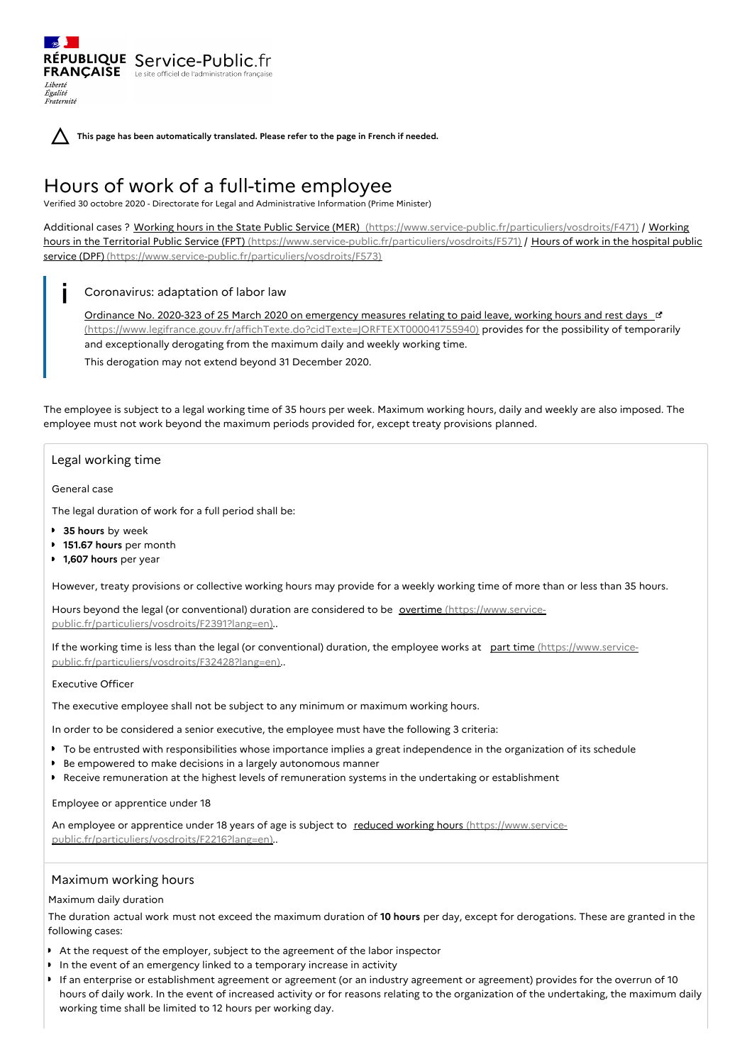RÉPUBLIQUE Service-Public.fr **FRANÇAISE** Le site officiel de l'administration fran Liberté Égalité Fraternité



**This page has been automatically translated. Please refer to the page in French if needed.**

# Hours of work of a full-time employee

Verified 30 octobre 2020 - Directorate for Legal and Administrative Information (Prime Minister)

Additional cases ? Working hours in the State Public Service (MER) [\(https://www.service-public.fr/particuliers/vosdroits/F471\)](https://www.service-public.fr/particuliers/vosdroits/F571) / Working hours in the Territorial Public Service (FPT) (https://www.service-public.fr/particuliers/vosdroits/F571) / Hours of work in the hospital public service (DPF) [\(https://www.service-public.fr/particuliers/vosdroits/F573\)](https://www.service-public.fr/particuliers/vosdroits/F573)

#### Coronavirus: adaptation of labor law  $\mathbf{i}$

Ordinance No. 2020-323 of 25 March 2020 on emergency measures relating to paid leave, working hours and rest days [3] [\(https://www.legifrance.gouv.fr/affichTexte.do?cidTexte=JORFTEXT000041755940\)](https://www.legifrance.gouv.fr/affichTexte.do?cidTexte=JORFTEXT000041755940) provides for the possibility of temporarily and exceptionally derogating from the maximum daily and weekly working time.

This derogation may not extend beyond 31 December 2020.

The employee is subject to a legal working time of 35 hours per week. Maximum working hours, daily and weekly are also imposed. The employee must not work beyond the maximum periods provided for, except treaty provisions planned.

## Legal working time

General case

The legal duration of work for a full period shall be:

- **35 hours** by week
- **151.67 hours** per month
- **1,607 hours** per year

However, treaty provisions or collective working hours may provide for a weekly working time of more than or less than 35 hours.

Hours beyond the legal (or conventional) duration are considered to be overtime (https://www.service[public.fr/particuliers/vosdroits/F2391?lang=en\)..](https://www.service-public.fr/particuliers/vosdroits/F2391?lang=en)

If the working time is less than the legal (or conventional) duration, the employee works at part time (https://www.service[public.fr/particuliers/vosdroits/F32428?lang=en\)..](https://www.service-public.fr/particuliers/vosdroits/F32428?lang=en)

# Executive Officer

The executive employee shall not be subject to any minimum or maximum working hours.

In order to be considered a senior executive, the employee must have the following 3 criteria:

- To be entrusted with responsibilities whose importance implies a great independence in the organization of its schedule
- Be empowered to make decisions in a largely autonomous manner
- **P** Receive remuneration at the highest levels of remuneration systems in the undertaking or establishment

Employee or apprentice under 18

An employee or apprentice under 18 years of age is subject to reduced working hours (https://www.service[public.fr/particuliers/vosdroits/F2216?lang=en\)..](https://www.service-public.fr/particuliers/vosdroits/F2216?lang=en)

## Maximum working hours

#### Maximum daily duration

The duration actual work must not exceed the maximum duration of **10 hours** per day, except for derogations. These are granted in the following cases:

- At the request of the employer, subject to the agreement of the labor inspector
- In the event of an emergency linked to a temporary increase in activity
- If an enterprise or establishment agreement or agreement (or an industry agreement or agreement) provides for the overrun of 10 hours of daily work. In the event of increased activity or for reasons relating to the organization of the undertaking, the maximum daily working time shall be limited to 12 hours per working day.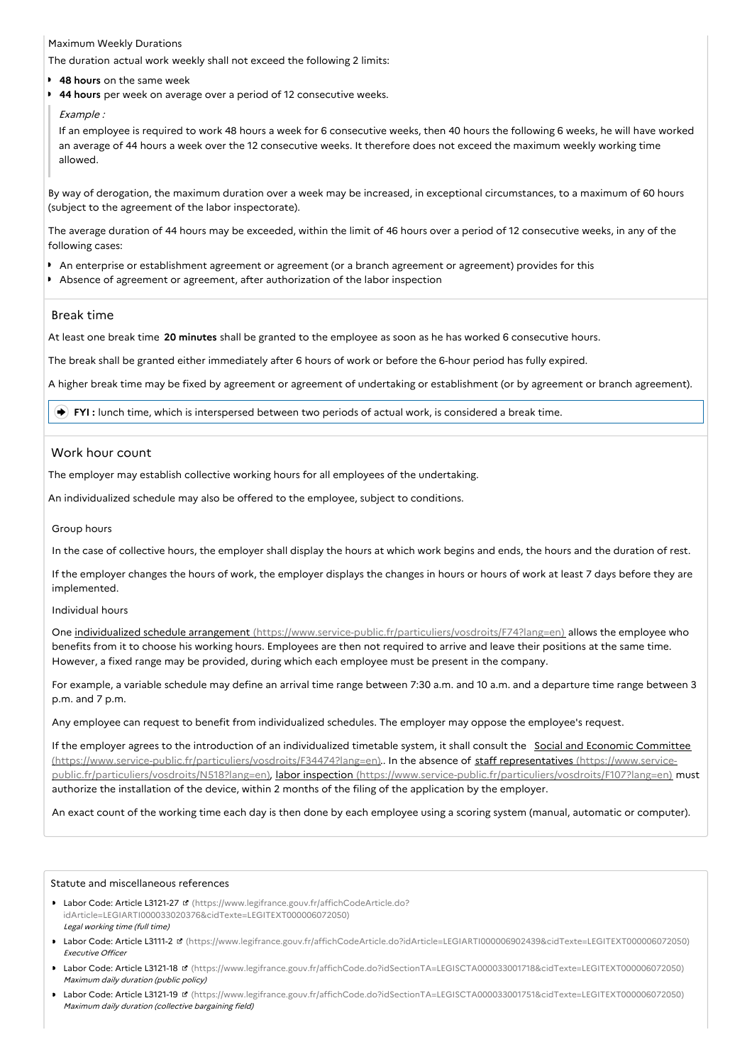#### Maximum Weekly Durations

The duration actual work weekly shall not exceed the following 2 limits:

- **48 hours** on the same week
- **44 hours** per week on average over a period of 12 consecutive weeks.

#### Example :

If an employee is required to work 48 hours a week for 6 consecutive weeks, then 40 hours the following 6 weeks, he will have worked an average of 44 hours a week over the 12 consecutive weeks. It therefore does not exceed the maximum weekly working time allowed.

By way of derogation, the maximum duration over a week may be increased, in exceptional circumstances, to a maximum of 60 hours (subject to the agreement of the labor inspectorate).

The average duration of 44 hours may be exceeded, within the limit of 46 hours over a period of 12 consecutive weeks, in any of the following cases:

- An enterprise or establishment agreement or agreement (or a branch agreement or agreement) provides for this
- Absence of agreement or agreement, after authorization of the labor inspection

## Break time

At least one break time **20 minutes** shall be granted to the employee as soon as he has worked 6 consecutive hours.

The break shall be granted either immediately after 6 hours of work or before the 6-hour period has fully expired.

A higher break time may be fixed by agreement or agreement of undertaking or establishment (or by agreement or branch agreement).

**FYI** : lunch time, which is interspersed between two periods of actual work, is considered a break time.

## Work hour count

The employer may establish collective working hours for all employees of the undertaking.

An individualized schedule may also be offered to the employee, subject to conditions.

Group hours

In the case of collective hours, the employer shall display the hours at which work begins and ends, the hours and the duration of rest.

If the employer changes the hours of work, the employer displays the changes in hours or hours of work at least 7 days before they are implemented.

#### Individual hours

One individualized schedule arrangement [\(https://www.service-public.fr/particuliers/vosdroits/F74?lang=en\)](https://www.service-public.fr/particuliers/vosdroits/F74?lang=en) allows the employee who benefits from it to choose his working hours. Employees are then not required to arrive and leave their positions at the same time. However, a fixed range may be provided, during which each employee must be present in the company.

For example, a variable schedule may define an arrival time range between 7:30 a.m. and 10 a.m. and a departure time range between 3 p.m. and 7 p.m.

Any employee can request to benefit from individualized schedules. The employer may oppose the employee's request.

If the employer agrees to the introduction of an individualized timetable system, it shall consult the Social and Economic Committee [\(https://www.service-public.fr/particuliers/vosdroits/F34474?lang=en\)..](https://www.service-public.fr/particuliers/vosdroits/F34474?lang=en) In the absence of staff representatives (https://www.servicepublic.fr/particuliers/vosdroits/N518?lang=en), labor inspection [\(https://www.service-public.fr/particuliers/vosdroits/F107?lang=en\)](https://www.service-public.fr/particuliers/vosdroits/F107?lang=en) must authorize the installation of the device, within 2 months of the filing of the application by the employer.

An exact count of the working time each day is then done by each employee using a scoring system (manual, automatic or computer).

#### Statute and miscellaneous references

- Labor Code: Article L3121-27 (https://www.legifrance.gouv.fr/affichCodeArticle.do? [idArticle=LEGIARTI000033020376&cidTexte=LEGITEXT000006072050\)](https://www.legifrance.gouv.fr/affichCodeArticle.do?idArticle=LEGIARTI000033020376&cidTexte=LEGITEXT000006072050) Legal working time (full time)
- Labor Code: Article L3111-2 [\(https://www.legifrance.gouv.fr/affichCodeArticle.do?idArticle=LEGIARTI000006902439&cidTexte=LEGITEXT000006072050\)](https://www.legifrance.gouv.fr/affichCodeArticle.do?idArticle=LEGIARTI000006902439&cidTexte=LEGITEXT000006072050) Executive Officer
- Labor Code: Article L3121-18 [\(https://www.legifrance.gouv.fr/affichCode.do?idSectionTA=LEGISCTA000033001718&cidTexte=LEGITEXT000006072050\)](https://www.legifrance.gouv.fr/affichCode.do?idSectionTA=LEGISCTA000033001718&cidTexte=LEGITEXT000006072050) Maximum daily duration (public policy)
- Labor Code: Article L3121-19 [\(https://www.legifrance.gouv.fr/affichCode.do?idSectionTA=LEGISCTA000033001751&cidTexte=LEGITEXT000006072050\)](https://www.legifrance.gouv.fr/affichCode.do?idSectionTA=LEGISCTA000033001751&cidTexte=LEGITEXT000006072050) Maximum daily duration (collective bargaining field)